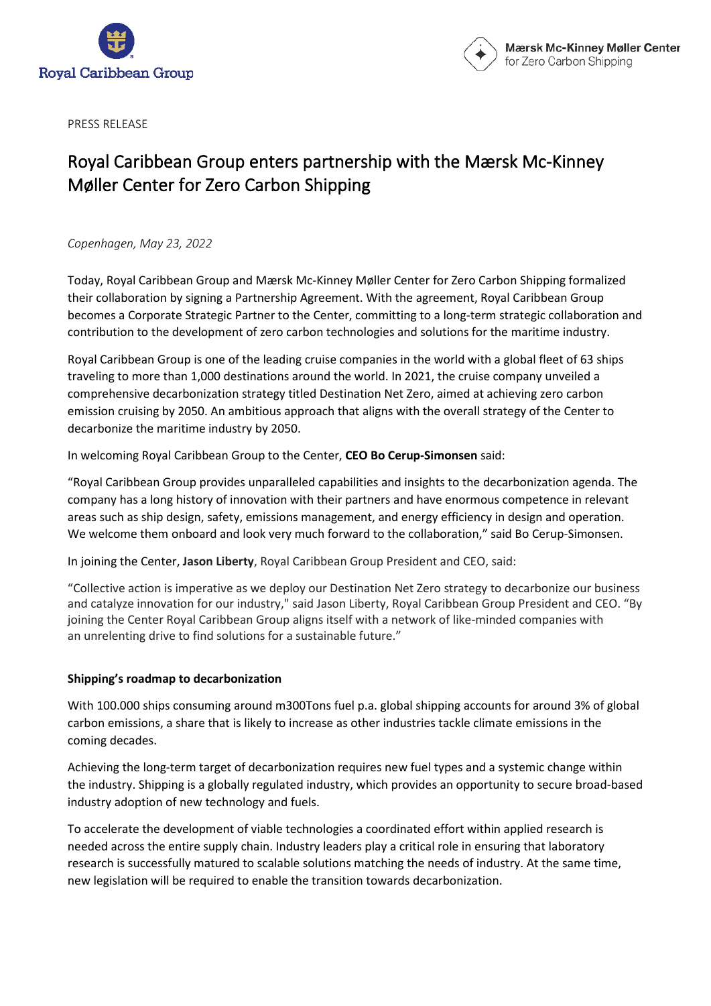



PRESS RELEASE

## Royal Caribbean Group enters partnership with the Mærsk Mc-Kinney Møller Center for Zero Carbon Shipping

*Copenhagen, May 23, 2022*

Today, Royal Caribbean Group and Mærsk Mc-Kinney Møller Center for Zero Carbon Shipping formalized their collaboration by signing a Partnership Agreement. With the agreement, Royal Caribbean Group becomes a Corporate Strategic Partner to the Center, committing to a long-term strategic collaboration and contribution to the development of zero carbon technologies and solutions for the maritime industry.

Royal Caribbean Group is one of the leading cruise companies in the world with a global fleet of 63 ships traveling to more than 1,000 destinations around the world. In 2021, the cruise company unveiled a comprehensive decarbonization strategy titled Destination Net Zero, aimed at achieving zero carbon emission cruising by 2050. An ambitious approach that aligns with the overall strategy of the Center to decarbonize the maritime industry by 2050.

In welcoming Royal Caribbean Group to the Center, **CEO Bo Cerup-Simonsen** said:

"Royal Caribbean Group provides unparalleled capabilities and insights to the decarbonization agenda. The company has a long history of innovation with their partners and have enormous competence in relevant areas such as ship design, safety, emissions management, and energy efficiency in design and operation. We welcome them onboard and look very much forward to the collaboration," said Bo Cerup-Simonsen.

In joining the Center, **Jason Liberty**, Royal Caribbean Group President and CEO, said:

"Collective action is imperative as we deploy our Destination Net Zero strategy to decarbonize our business and catalyze innovation for our industry," said Jason Liberty, Royal Caribbean Group President and CEO. "By joining the Center Royal Caribbean Group aligns itself with a network of like-minded companies with an unrelenting drive to find solutions for a sustainable future."

## **Shipping's roadmap to decarbonization**

With 100.000 ships consuming around m300Tons fuel p.a. global shipping accounts for around 3% of global carbon emissions, a share that is likely to increase as other industries tackle climate emissions in the coming decades.

Achieving the long-term target of decarbonization requires new fuel types and a systemic change within the industry. Shipping is a globally regulated industry, which provides an opportunity to secure broad-based industry adoption of new technology and fuels.

To accelerate the development of viable technologies a coordinated effort within applied research is needed across the entire supply chain. Industry leaders play a critical role in ensuring that laboratory research is successfully matured to scalable solutions matching the needs of industry. At the same time, new legislation will be required to enable the transition towards decarbonization.